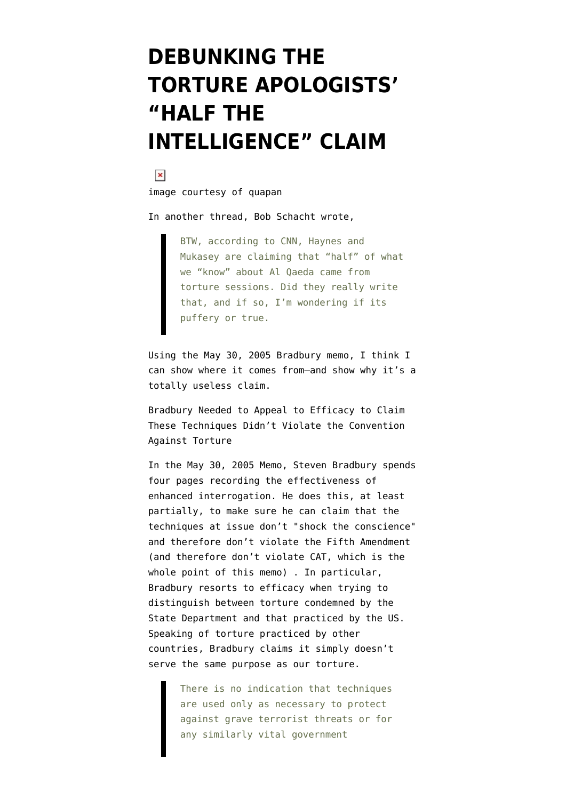## **[DEBUNKING THE](https://www.emptywheel.net/2009/04/18/debunking-the-torture-apologists-half-the-intelligence-claim/) [TORTURE APOLOGISTS'](https://www.emptywheel.net/2009/04/18/debunking-the-torture-apologists-half-the-intelligence-claim/) ["HALF THE](https://www.emptywheel.net/2009/04/18/debunking-the-torture-apologists-half-the-intelligence-claim/) [INTELLIGENCE" CLAIM](https://www.emptywheel.net/2009/04/18/debunking-the-torture-apologists-half-the-intelligence-claim/)**



[image courtesy of quapan](http://www.flickr.com/photos/hinkelstone/2213683339/)

In another thread, Bob Schacht [wrote](http://emptywheel.firedoglake.com/2009/04/18/khalid-sheikh-mohammed-was-waterboarded-183-times-in-one-month/#comment-148379),

BTW, according to CNN, Haynes and Mukasey are claiming that "half" of what we "know" about Al Qaeda came from torture sessions. Did they really write that, and if so, I'm wondering if its puffery or true.

Using the [May 30, 2005 Bradbury memo](http://stream.luxmedia501.com/?file=clients/aclu/olc_05302005_bradbury.pdf&method=dl), I think I can show where it comes from–and show why it's a totally useless claim.

Bradbury Needed to Appeal to Efficacy to Claim These Techniques Didn't Violate the Convention Against Torture

In the May 30, 2005 Memo, Steven Bradbury spends four pages recording the effectiveness of enhanced interrogation. He does this, at least partially, to make sure he can claim that the techniques at issue don't "shock the conscience" and therefore don't violate the Fifth Amendment (and therefore don't violate CAT, which is the whole point of this memo) . In particular, Bradbury resorts to efficacy when trying to distinguish between torture condemned by the State Department and that practiced by the US. Speaking of torture practiced by other countries, Bradbury claims it simply doesn't serve the same purpose as our torture.

> There is no indication that techniques are used only as necessary to protect against grave terrorist threats or for any similarly vital government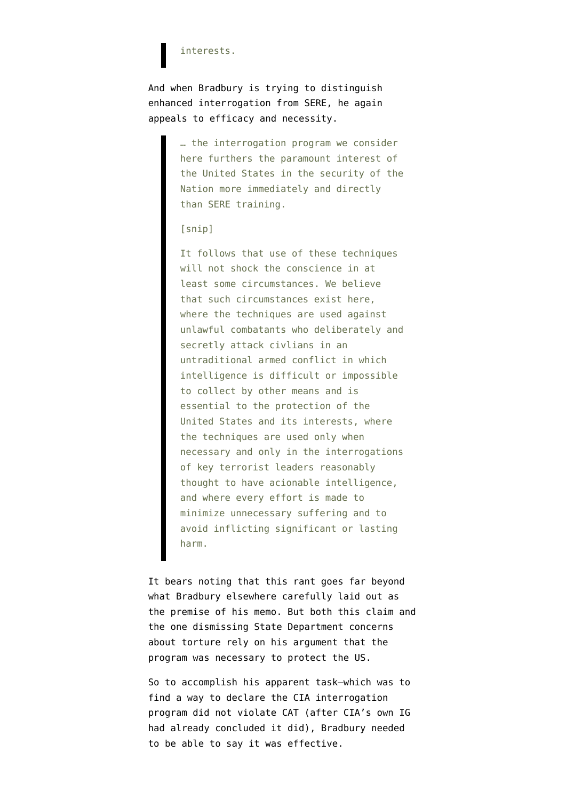## interests.

And when Bradbury is trying to distinguish enhanced interrogation from SERE, he again appeals to efficacy and necessity.

> … the interrogation program we consider here furthers the paramount interest of the United States in the security of the Nation more immediately and directly than SERE training.

## [snip]

It follows that use of these techniques will not shock the conscience in at least some circumstances. We believe that such circumstances exist here, where the techniques are used against unlawful combatants who deliberately and secretly attack civlians in an untraditional armed conflict in which intelligence is difficult or impossible to collect by other means and is essential to the protection of the United States and its interests, where the techniques are used only when necessary and only in the interrogations of key terrorist leaders reasonably thought to have acionable intelligence, and where every effort is made to minimize unnecessary suffering and to avoid inflicting significant or lasting harm.

It bears noting that this rant goes far beyond what Bradbury elsewhere carefully laid out as the premise of his memo. But both this claim and the one dismissing State Department concerns about torture rely on his argument that the program was necessary to protect the US.

So to accomplish his apparent task–which was to find a way to declare the CIA interrogation program did not violate CAT (after [CIA's own IG](http://emptywheel.firedoglake.com/2009/04/17/the-cia-ig-report-and-the-bradbury-memos/) [had already concluded](http://emptywheel.firedoglake.com/2009/04/17/the-cia-ig-report-and-the-bradbury-memos/) it did), Bradbury needed to be able to say it was effective.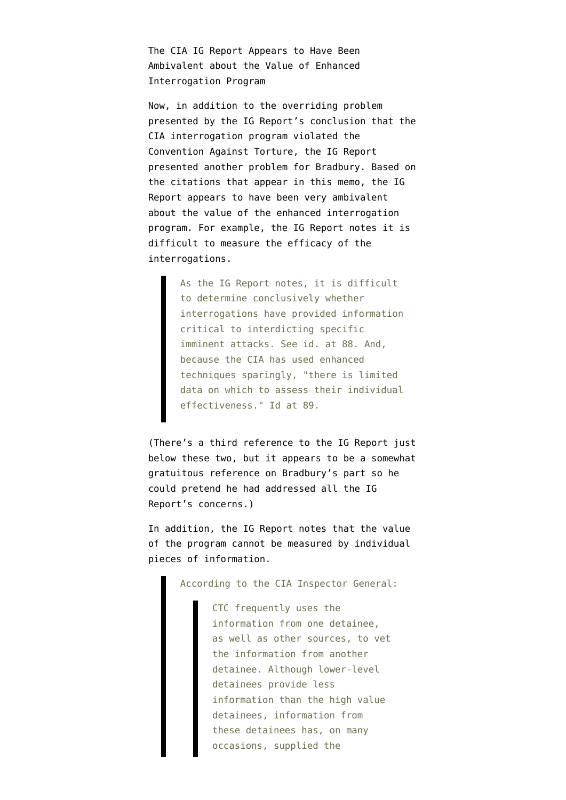The CIA IG Report Appears to Have Been Ambivalent about the Value of Enhanced Interrogation Program

Now, in addition to the overriding problem presented by the IG Report's conclusion that the CIA interrogation program violated the Convention Against Torture, the IG Report presented another problem for Bradbury. Based on the citations that appear in this memo, the IG Report appears to have been very ambivalent about the value of the enhanced interrogation program. For example, the IG Report notes it is difficult to measure the efficacy of the interrogations.

> As the IG Report notes, it is difficult to determine conclusively whether interrogations have provided information critical to interdicting specific imminent attacks. See id. at 88. And, because the CIA has used enhanced techniques sparingly, "there is limited data on which to assess their individual effectiveness." Id at 89.

(There's a third reference to the IG Report just below these two, but it appears to be a somewhat gratuitous reference on Bradbury's part so he could pretend he had addressed all the IG Report's concerns.)

In addition, the IG Report notes that the value of the program cannot be measured by individual pieces of information.

According to the CIA Inspector General:

CTC frequently uses the information from one detainee, as well as other sources, to vet the information from another detainee. Although lower-level detainees provide less information than the high value detainees, information from these detainees has, on many occasions, supplied the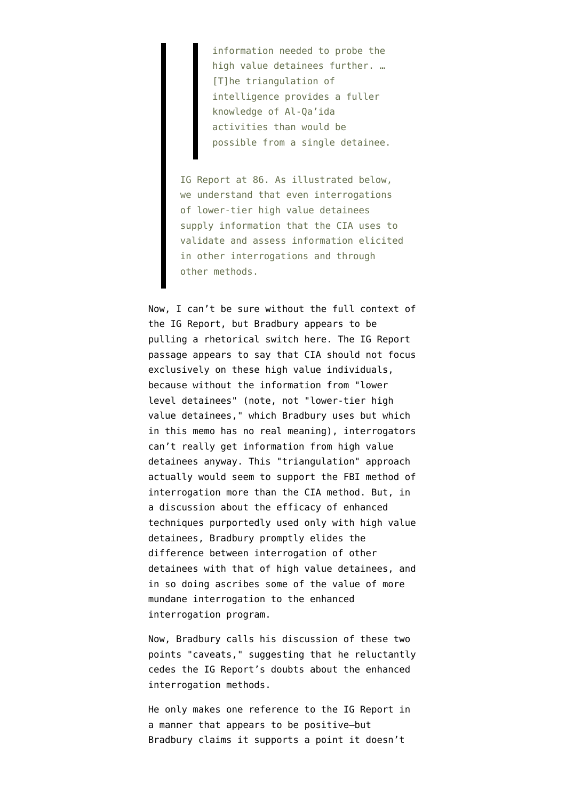information needed to probe the high value detainees further. … [T]he triangulation of intelligence provides a fuller knowledge of Al-Qa'ida activities than would be possible from a single detainee.

IG Report at 86. As illustrated below, we understand that even interrogations of lower-tier high value detainees supply information that the CIA uses to validate and assess information elicited in other interrogations and through other methods.

Now, I can't be sure without the full context of the IG Report, but Bradbury appears to be pulling a rhetorical switch here. The IG Report passage appears to say that CIA should not focus exclusively on these high value individuals, because without the information from "lower level detainees" (note, not "lower-tier high value detainees," which Bradbury uses but which in this memo has no real meaning), interrogators can't really get information from high value detainees anyway. This "triangulation" approach actually would seem to support the FBI method of interrogation more than the CIA method. But, in a discussion about the efficacy of enhanced techniques purportedly used only with high value detainees, Bradbury promptly elides the difference between interrogation of other detainees with that of high value detainees, and in so doing ascribes some of the value of more mundane interrogation to the enhanced interrogation program.

Now, Bradbury calls his discussion of these two points "caveats," suggesting that he reluctantly cedes the IG Report's doubts about the enhanced interrogation methods.

He only makes one reference to the IG Report in a manner that appears to be positive–but Bradbury claims it supports a point it doesn't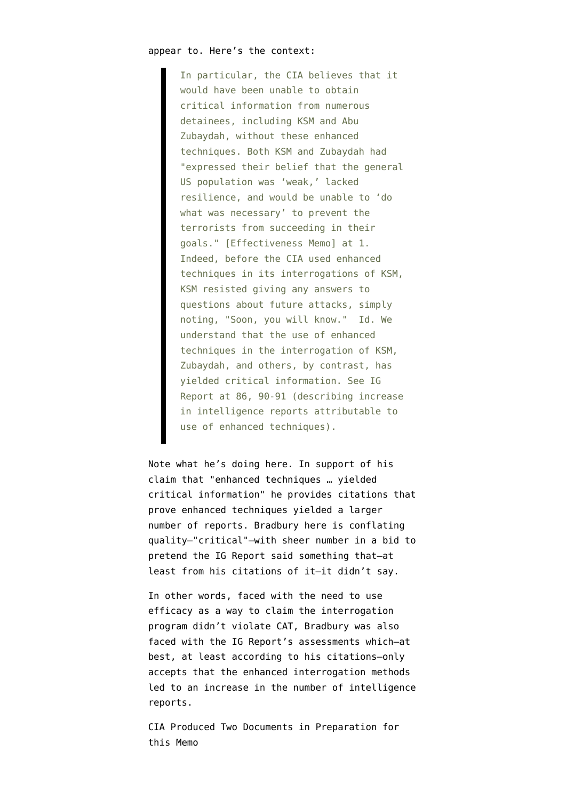In particular, the CIA believes that it would have been unable to obtain critical information from numerous detainees, including KSM and Abu Zubaydah, without these enhanced techniques. Both KSM and Zubaydah had "expressed their belief that the general US population was 'weak,' lacked resilience, and would be unable to 'do what was necessary' to prevent the terrorists from succeeding in their goals." [Effectiveness Memo] at 1. Indeed, before the CIA used enhanced techniques in its interrogations of KSM, KSM resisted giving any answers to questions about future attacks, simply noting, "Soon, you will know." Id. We understand that the use of enhanced techniques in the interrogation of KSM, Zubaydah, and others, by contrast, has yielded critical information. See IG Report at 86, 90-91 (describing increase in intelligence reports attributable to use of enhanced techniques).

Note what he's doing here. In support of his claim that "enhanced techniques … yielded critical information" he provides citations that prove enhanced techniques yielded a larger number of reports. Bradbury here is conflating quality–"critical"–with sheer number in a bid to pretend the IG Report said something that–at least from his citations of it–it didn't say.

In other words, faced with the need to use efficacy as a way to claim the interrogation program didn't violate CAT, Bradbury was also faced with the IG Report's assessments which–at best, at least according to his citations–only accepts that the enhanced interrogation methods led to an increase in the number of intelligence reports.

CIA Produced Two Documents in Preparation for this Memo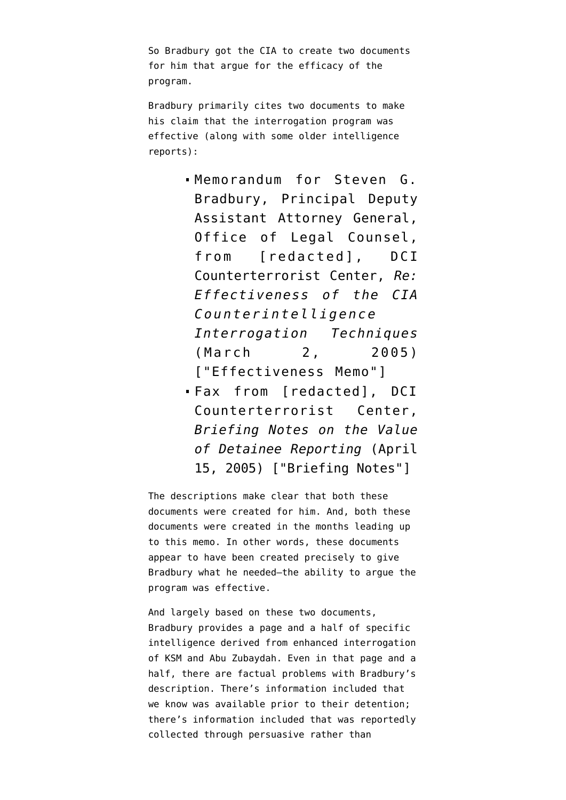So Bradbury got the CIA to create two documents for him that argue for the efficacy of the program.

Bradbury primarily cites two documents to make his claim that the interrogation program was effective (along with some older intelligence reports):

- Memorandum for Steven G. Bradbury, Principal Deputy Assistant Attorney General, Office of Legal Counsel, from [redacted], DCI Counterterrorist Center, *Re: Effectiveness of the CIA Counterintelligence Interrogation Techniques* (March 2, 2005) ["Effectiveness Memo"]
- Fax from [redacted], DCI Counterterrorist Center, *Briefing Notes on the Value of Detainee Reporting* (April 15, 2005) ["Briefing Notes"]

The descriptions make clear that both these documents were created for him. And, both these documents were created in the months leading up to this memo. In other words, these documents appear to have been created precisely to give Bradbury what he needed–the ability to argue the program was effective.

And largely based on these two documents, Bradbury provides a page and a half of specific intelligence derived from enhanced interrogation of KSM and Abu Zubaydah. Even in that page and a half, there are factual problems with Bradbury's description. There's information included that we know was available prior to their detention; there's information included that was reportedly collected through persuasive rather than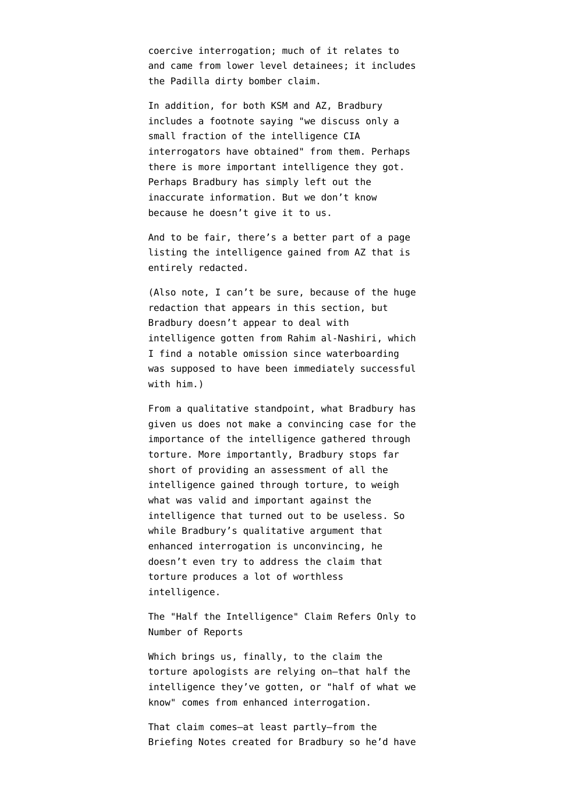coercive interrogation; much of it relates to and came from lower level detainees; it includes the Padilla dirty bomber claim.

In addition, for both KSM and AZ, Bradbury includes a footnote saying "we discuss only a small fraction of the intelligence CIA interrogators have obtained" from them. Perhaps there is more important intelligence they got. Perhaps Bradbury has simply left out the inaccurate information. But we don't know because he doesn't give it to us.

And to be fair, there's a better part of a page listing the intelligence gained from AZ that is entirely redacted.

(Also note, I can't be sure, because of the huge redaction that appears in this section, but Bradbury doesn't appear to deal with intelligence gotten from Rahim al-Nashiri, which I find a notable omission since waterboarding was supposed to have been immediately successful with him.)

From a qualitative standpoint, what Bradbury has given us does not make a convincing case for the importance of the intelligence gathered through torture. More importantly, Bradbury stops far short of providing an assessment of all the intelligence gained through torture, to weigh what was valid and important against the intelligence that turned out to be useless. So while Bradbury's qualitative argument that enhanced interrogation is unconvincing, he doesn't even try to address the claim that torture produces a lot of worthless intelligence.

The "Half the Intelligence" Claim Refers Only to Number of Reports

Which brings us, finally, to the claim the torture apologists are relying on–that half the intelligence they've gotten, or "half of what we know" comes from enhanced interrogation.

That claim comes–at least partly–from the Briefing Notes created for Bradbury so he'd have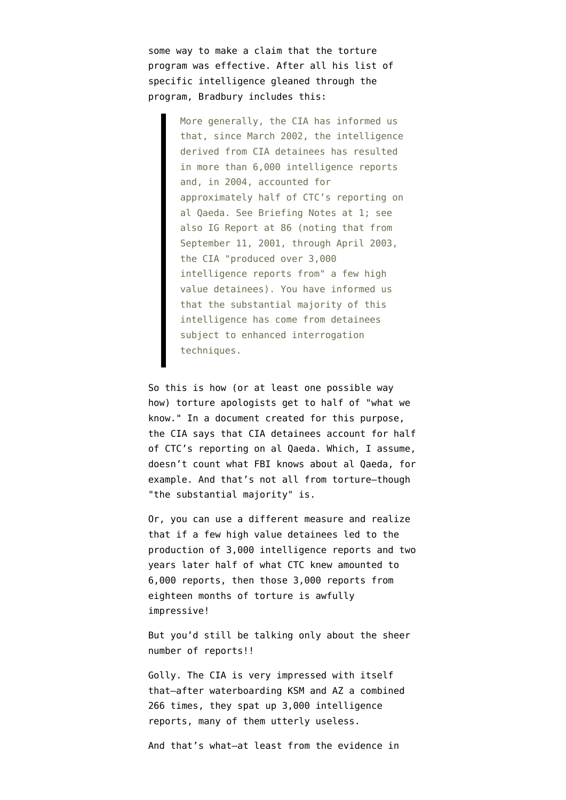some way to make a claim that the torture program was effective. After all his list of specific intelligence gleaned through the program, Bradbury includes this:

> More generally, the CIA has informed us that, since March 2002, the intelligence derived from CIA detainees has resulted in more than 6,000 intelligence reports and, in 2004, accounted for approximately half of CTC's reporting on al Qaeda. See Briefing Notes at 1; see also IG Report at 86 (noting that from September 11, 2001, through April 2003, the CIA "produced over 3,000 intelligence reports from" a few high value detainees). You have informed us that the substantial majority of this intelligence has come from detainees subject to enhanced interrogation techniques.

So this is how (or at least one possible way how) torture apologists get to half of "what we know." In a document created for this purpose, the CIA says that CIA detainees account for half of CTC's reporting on al Qaeda. Which, I assume, doesn't count what FBI knows about al Qaeda, for example. And that's not all from torture–though "the substantial majority" is.

Or, you can use a different measure and realize that if a few high value detainees led to the production of 3,000 intelligence reports and two years later half of what CTC knew amounted to 6,000 reports, then those 3,000 reports from eighteen months of torture is awfully impressive!

But you'd still be talking only about the sheer number of reports!!

Golly. The CIA is very impressed with itself that[–after waterboarding KSM and AZ a combined](http://emptywheel.firedoglake.com/2009/04/18/khalid-sheikh-mohammed-was-waterboarded-183-times-in-one-month/) [266 times,](http://emptywheel.firedoglake.com/2009/04/18/khalid-sheikh-mohammed-was-waterboarded-183-times-in-one-month/) they spat up 3,000 intelligence reports, many of them utterly useless.

And that's what–at least from the evidence in